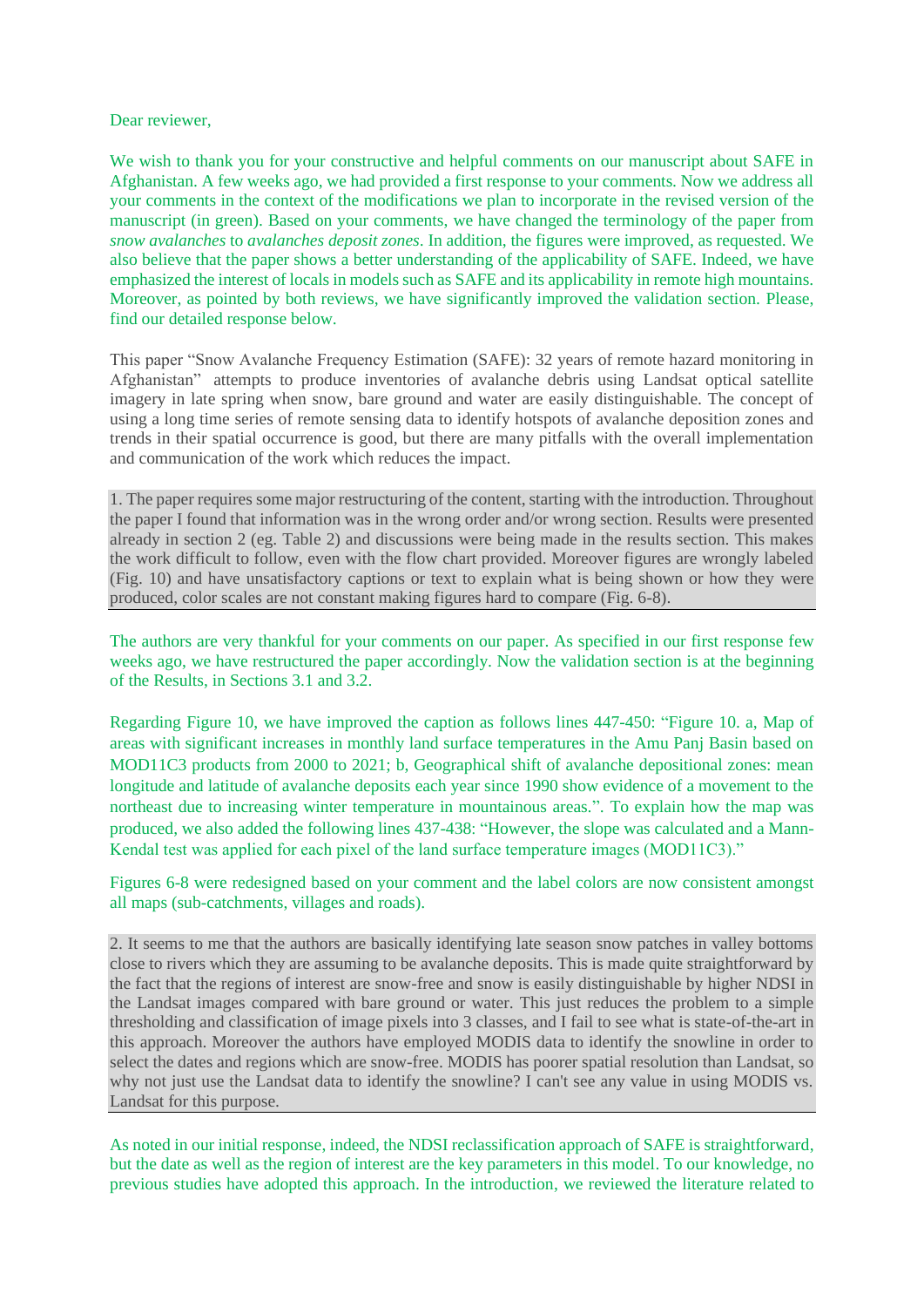## Dear reviewer,

We wish to thank you for your constructive and helpful comments on our manuscript about SAFE in Afghanistan. A few weeks ago, we had provided a first response to your comments. Now we address all your comments in the context of the modifications we plan to incorporate in the revised version of the manuscript (in green). Based on your comments, we have changed the terminology of the paper from *snow avalanches* to *avalanches deposit zones*. In addition, the figures were improved, as requested. We also believe that the paper shows a better understanding of the applicability of SAFE. Indeed, we have emphasized the interest of locals in models such as SAFE and its applicability in remote high mountains. Moreover, as pointed by both reviews, we have significantly improved the validation section. Please, find our detailed response below.

This paper "Snow Avalanche Frequency Estimation (SAFE): 32 years of remote hazard monitoring in Afghanistan" attempts to produce inventories of avalanche debris using Landsat optical satellite imagery in late spring when snow, bare ground and water are easily distinguishable. The concept of using a long time series of remote sensing data to identify hotspots of avalanche deposition zones and trends in their spatial occurrence is good, but there are many pitfalls with the overall implementation and communication of the work which reduces the impact.

1. The paper requires some major restructuring of the content, starting with the introduction. Throughout the paper I found that information was in the wrong order and/or wrong section. Results were presented already in section 2 (eg. Table 2) and discussions were being made in the results section. This makes the work difficult to follow, even with the flow chart provided. Moreover figures are wrongly labeled (Fig. 10) and have unsatisfactory captions or text to explain what is being shown or how they were produced, color scales are not constant making figures hard to compare (Fig. 6-8).

The authors are very thankful for your comments on our paper. As specified in our first response few weeks ago, we have restructured the paper accordingly. Now the validation section is at the beginning of the Results, in Sections 3.1 and 3.2.

Regarding Figure 10, we have improved the caption as follows lines 447-450: "Figure 10. a, Map of areas with significant increases in monthly land surface temperatures in the Amu Panj Basin based on MOD11C3 products from 2000 to 2021; b, Geographical shift of avalanche depositional zones: mean longitude and latitude of avalanche deposits each year since 1990 show evidence of a movement to the northeast due to increasing winter temperature in mountainous areas.". To explain how the map was produced, we also added the following lines 437-438: "However, the slope was calculated and a Mann-Kendal test was applied for each pixel of the land surface temperature images (MOD11C3)."

## Figures 6-8 were redesigned based on your comment and the label colors are now consistent amongst all maps (sub-catchments, villages and roads).

2. It seems to me that the authors are basically identifying late season snow patches in valley bottoms close to rivers which they are assuming to be avalanche deposits. This is made quite straightforward by the fact that the regions of interest are snow-free and snow is easily distinguishable by higher NDSI in the Landsat images compared with bare ground or water. This just reduces the problem to a simple thresholding and classification of image pixels into 3 classes, and I fail to see what is state-of-the-art in this approach. Moreover the authors have employed MODIS data to identify the snowline in order to select the dates and regions which are snow-free. MODIS has poorer spatial resolution than Landsat, so why not just use the Landsat data to identify the snowline? I can't see any value in using MODIS vs. Landsat for this purpose.

As noted in our initial response, indeed, the NDSI reclassification approach of SAFE is straightforward, but the date as well as the region of interest are the key parameters in this model. To our knowledge, no previous studies have adopted this approach. In the introduction, we reviewed the literature related to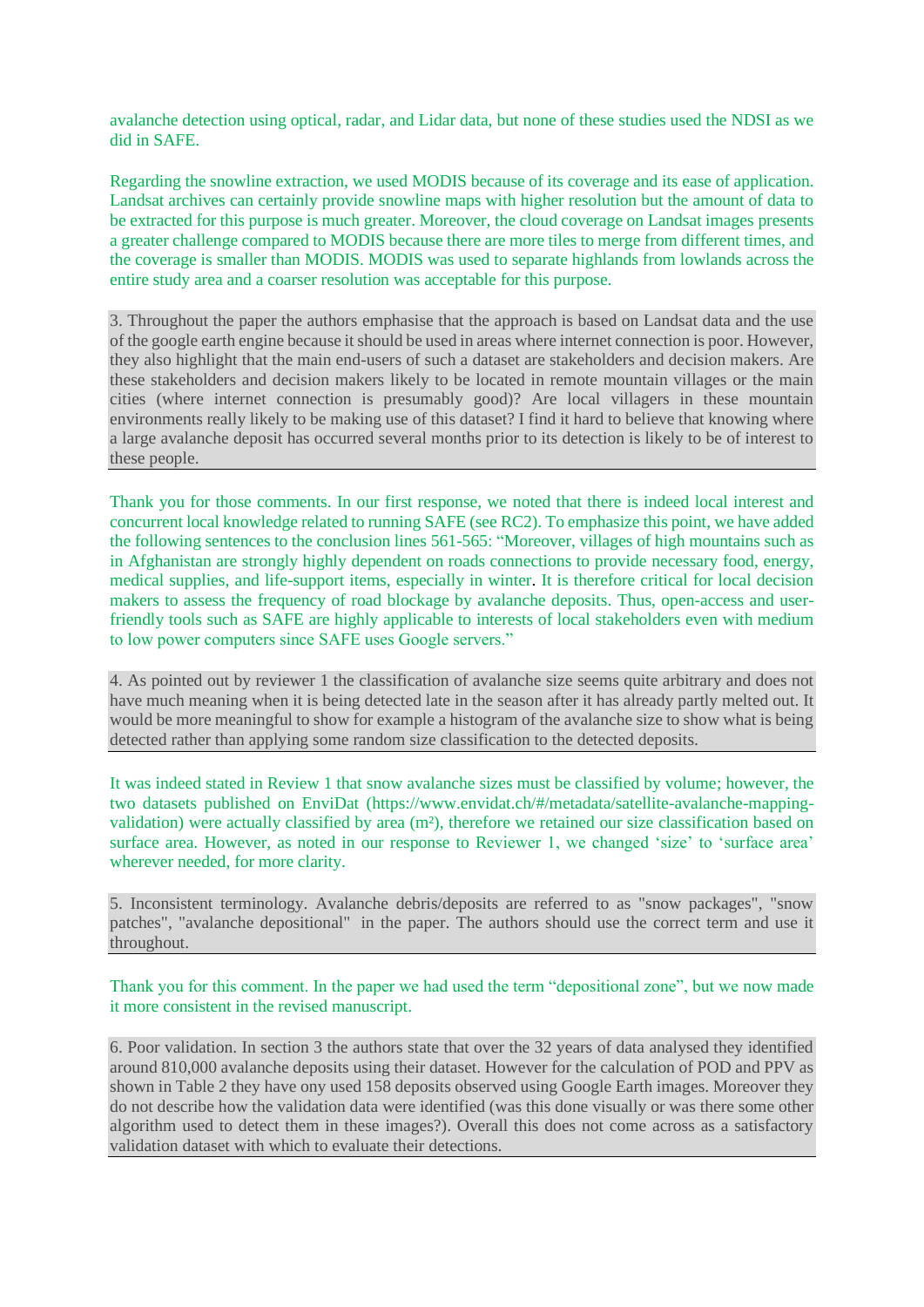avalanche detection using optical, radar, and Lidar data, but none of these studies used the NDSI as we did in SAFE.

Regarding the snowline extraction, we used MODIS because of its coverage and its ease of application. Landsat archives can certainly provide snowline maps with higher resolution but the amount of data to be extracted for this purpose is much greater. Moreover, the cloud coverage on Landsat images presents a greater challenge compared to MODIS because there are more tiles to merge from different times, and the coverage is smaller than MODIS. MODIS was used to separate highlands from lowlands across the entire study area and a coarser resolution was acceptable for this purpose.

3. Throughout the paper the authors emphasise that the approach is based on Landsat data and the use of the google earth engine because it should be used in areas where internet connection is poor. However, they also highlight that the main end-users of such a dataset are stakeholders and decision makers. Are these stakeholders and decision makers likely to be located in remote mountain villages or the main cities (where internet connection is presumably good)? Are local villagers in these mountain environments really likely to be making use of this dataset? I find it hard to believe that knowing where a large avalanche deposit has occurred several months prior to its detection is likely to be of interest to these people.

Thank you for those comments. In our first response, we noted that there is indeed local interest and concurrent local knowledge related to running SAFE (see RC2). To emphasize this point, we have added the following sentences to the conclusion lines 561-565: "Moreover, villages of high mountains such as in Afghanistan are strongly highly dependent on roads connections to provide necessary food, energy, medical supplies, and life-support items, especially in winter. It is therefore critical for local decision makers to assess the frequency of road blockage by avalanche deposits. Thus, open-access and userfriendly tools such as SAFE are highly applicable to interests of local stakeholders even with medium to low power computers since SAFE uses Google servers."

4. As pointed out by reviewer 1 the classification of avalanche size seems quite arbitrary and does not have much meaning when it is being detected late in the season after it has already partly melted out. It would be more meaningful to show for example a histogram of the avalanche size to show what is being detected rather than applying some random size classification to the detected deposits.

It was indeed stated in Review 1 that snow avalanche sizes must be classified by volume; however, the two datasets published on EnviDat (https://www.envidat.ch/#/metadata/satellite-avalanche-mappingvalidation) were actually classified by area (m²), therefore we retained our size classification based on surface area. However, as noted in our response to Reviewer 1, we changed 'size' to 'surface area' wherever needed, for more clarity.

5. Inconsistent terminology. Avalanche debris/deposits are referred to as "snow packages", "snow patches", "avalanche depositional" in the paper. The authors should use the correct term and use it throughout.

Thank you for this comment. In the paper we had used the term "depositional zone", but we now made it more consistent in the revised manuscript.

6. Poor validation. In section 3 the authors state that over the 32 years of data analysed they identified around 810,000 avalanche deposits using their dataset. However for the calculation of POD and PPV as shown in Table 2 they have ony used 158 deposits observed using Google Earth images. Moreover they do not describe how the validation data were identified (was this done visually or was there some other algorithm used to detect them in these images?). Overall this does not come across as a satisfactory validation dataset with which to evaluate their detections.